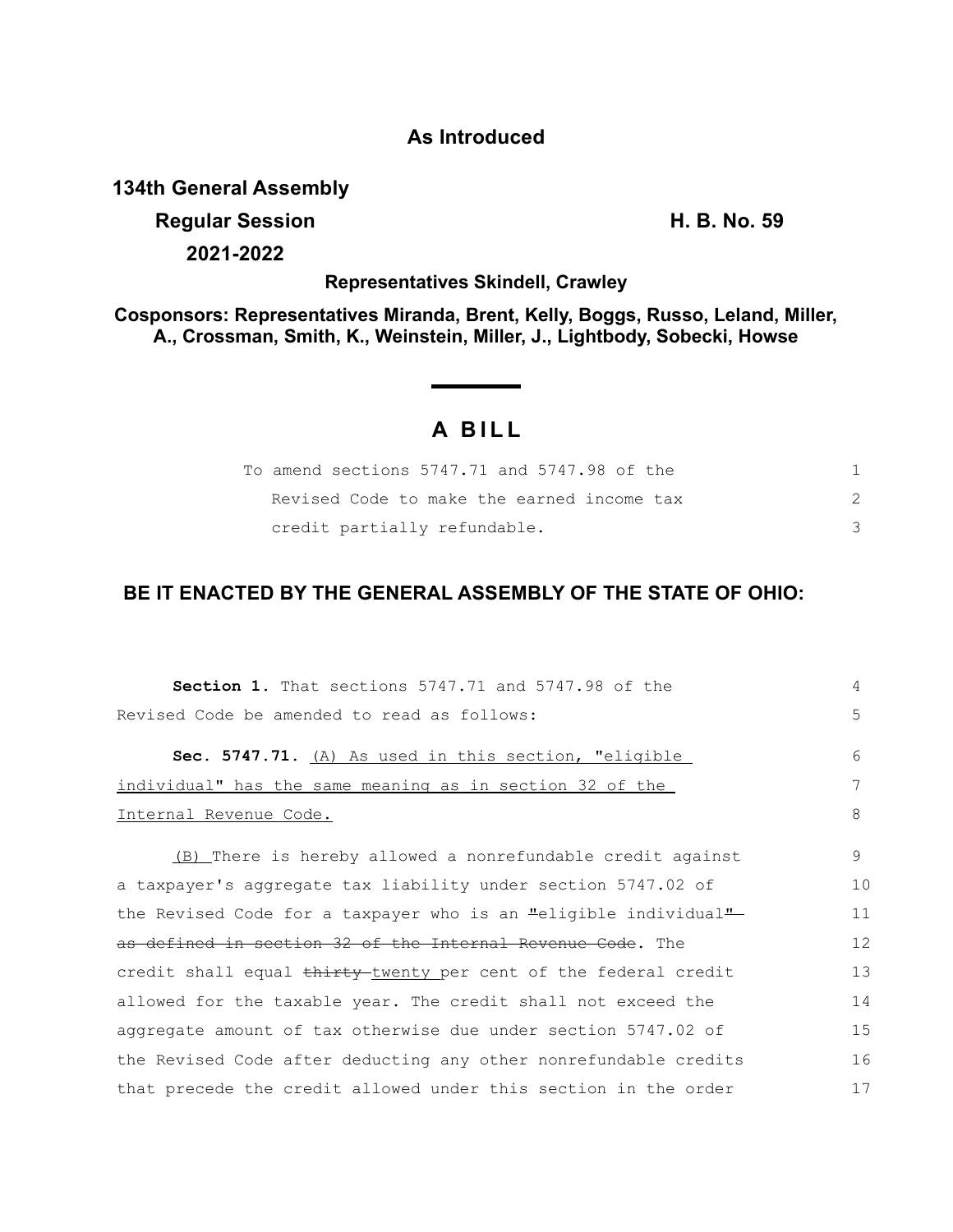## **As Introduced**

### **134th General Assembly**

## **Regular Session H. B. No. 59**

**2021-2022**

**Representatives Skindell, Crawley**

**Cosponsors: Representatives Miranda, Brent, Kelly, Boggs, Russo, Leland, Miller, A., Crossman, Smith, K., Weinstein, Miller, J., Lightbody, Sobecki, Howse**

# **A BILL**

| To amend sections 5747.71 and 5747.98 of the |  |
|----------------------------------------------|--|
| Revised Code to make the earned income tax   |  |
| credit partially refundable.                 |  |

# **BE IT ENACTED BY THE GENERAL ASSEMBLY OF THE STATE OF OHIO:**

| Section 1. That sections 5747.71 and 5747.98 of the              | 4  |
|------------------------------------------------------------------|----|
| Revised Code be amended to read as follows:                      | 5  |
| Sec. 5747.71. (A) As used in this section, "eligible             | 6  |
| individual" has the same meaning as in section 32 of the         | 7  |
| Internal Revenue Code.                                           | 8  |
| (B) There is hereby allowed a nonrefundable credit against       | 9  |
| a taxpayer's aggregate tax liability under section 5747.02 of    | 10 |
| the Revised Code for a taxpayer who is an "eligible individual"  | 11 |
| as defined in section 32 of the Internal Revenue Code. The       | 12 |
| credit shall equal thirty-twenty per cent of the federal credit  | 13 |
| allowed for the taxable year. The credit shall not exceed the    | 14 |
| aggregate amount of tax otherwise due under section 5747.02 of   | 15 |
| the Revised Code after deducting any other nonrefundable credits | 16 |
| that precede the credit allowed under this section in the order  | 17 |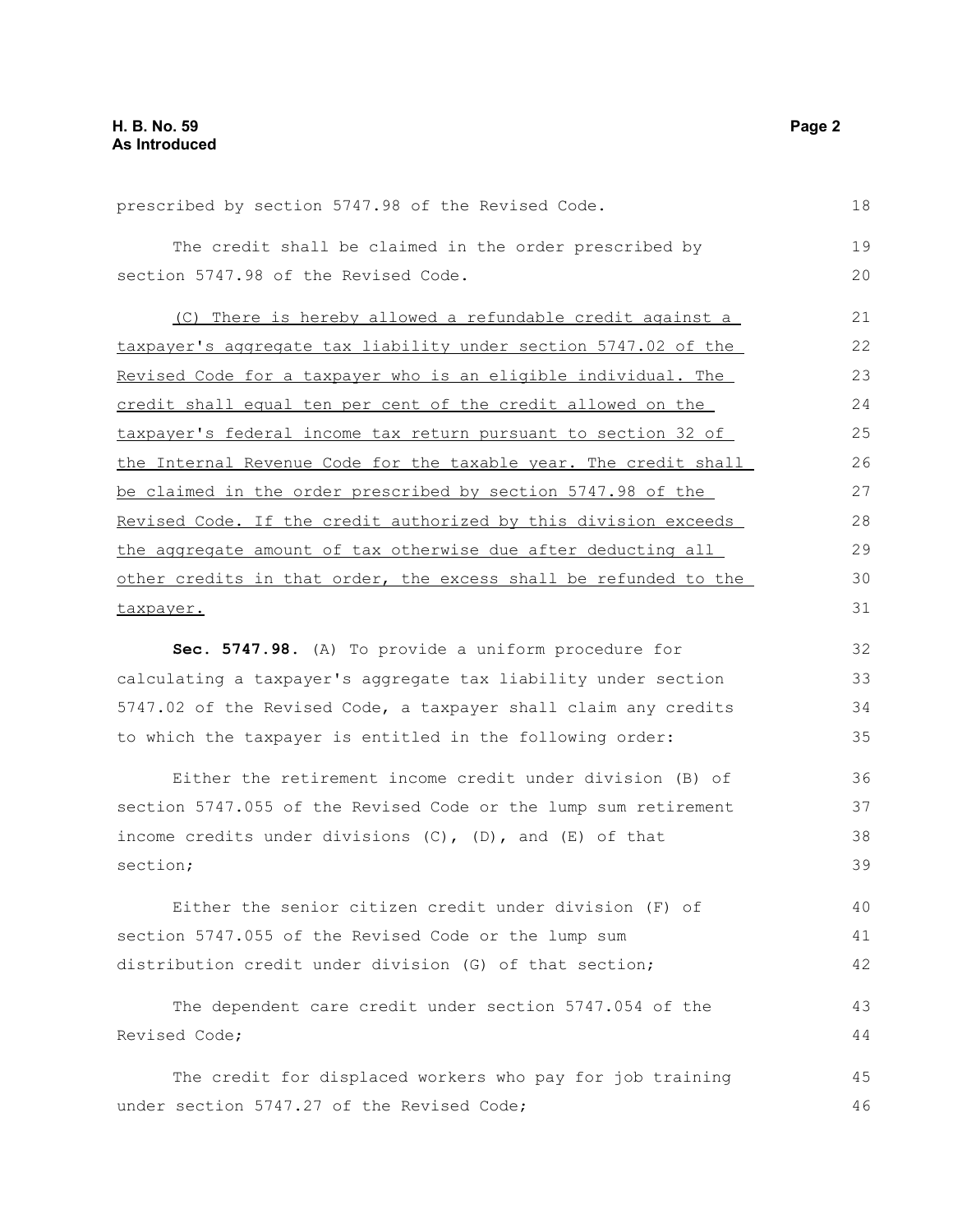| prescribed by section 5747.98 of the Revised Code.               | 18 |
|------------------------------------------------------------------|----|
| The credit shall be claimed in the order prescribed by           | 19 |
| section 5747.98 of the Revised Code.                             | 20 |
|                                                                  |    |
| (C) There is hereby allowed a refundable credit against a        | 21 |
| taxpayer's aggregate tax liability under section 5747.02 of the  | 22 |
| Revised Code for a taxpayer who is an eligible individual. The   | 23 |
| credit shall equal ten per cent of the credit allowed on the     | 24 |
| taxpayer's federal income tax return pursuant to section 32 of   | 25 |
| the Internal Revenue Code for the taxable year. The credit shall | 26 |
| be claimed in the order prescribed by section 5747.98 of the     | 27 |
| Revised Code. If the credit authorized by this division exceeds  | 28 |
| the aggregate amount of tax otherwise due after deducting all    | 29 |
| other credits in that order, the excess shall be refunded to the | 30 |
| taxpayer.                                                        | 31 |
| Sec. 5747.98. (A) To provide a uniform procedure for             | 32 |
| calculating a taxpayer's aggregate tax liability under section   | 33 |
| 5747.02 of the Revised Code, a taxpayer shall claim any credits  | 34 |
| to which the taxpayer is entitled in the following order:        | 35 |
|                                                                  |    |
| Either the retirement income credit under division (B) of        | 36 |
| section 5747.055 of the Revised Code or the lump sum retirement  | 37 |
| income credits under divisions (C), (D), and (E) of that         | 38 |
| section;                                                         | 39 |
| Either the senior citizen credit under division (F) of           | 40 |
| section 5747.055 of the Revised Code or the lump sum             | 41 |
| distribution credit under division (G) of that section;          | 42 |
| The dependent care credit under section 5747.054 of the          | 43 |
| Revised Code;                                                    | 44 |
|                                                                  |    |
| The credit for displaced workers who pay for job training        | 45 |
| under section 5747.27 of the Revised Code;                       | 46 |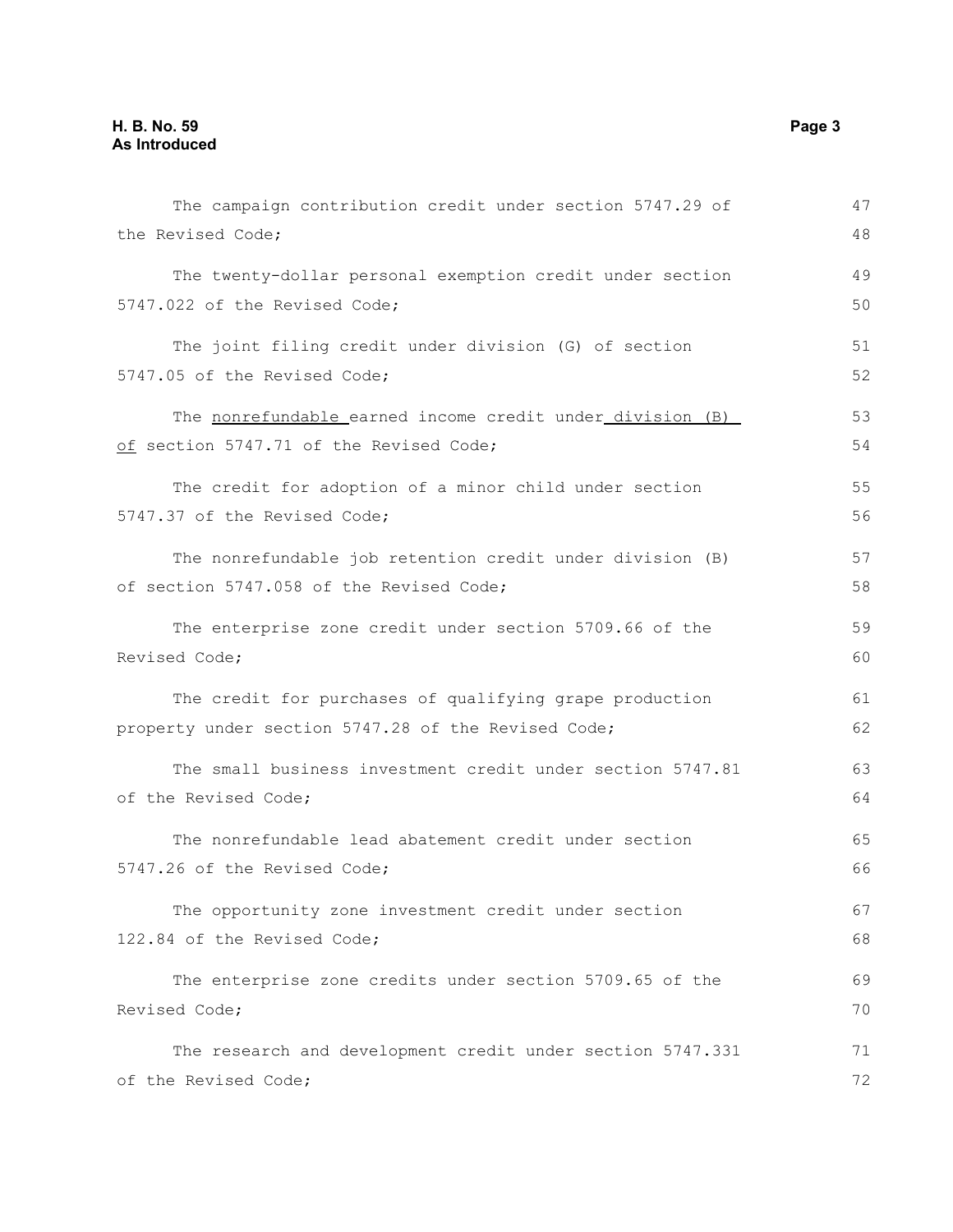| The campaign contribution credit under section 5747.29 of  | 47 |
|------------------------------------------------------------|----|
| the Revised Code;                                          | 48 |
| The twenty-dollar personal exemption credit under section  | 49 |
| 5747.022 of the Revised Code;                              | 50 |
| The joint filing credit under division (G) of section      | 51 |
| 5747.05 of the Revised Code;                               | 52 |
| The nonrefundable earned income credit under division (B)  | 53 |
| of section 5747.71 of the Revised Code;                    | 54 |
| The credit for adoption of a minor child under section     | 55 |
| 5747.37 of the Revised Code;                               | 56 |
| The nonrefundable job retention credit under division (B)  | 57 |
| of section 5747.058 of the Revised Code;                   | 58 |
| The enterprise zone credit under section 5709.66 of the    | 59 |
| Revised Code;                                              | 60 |
| The credit for purchases of qualifying grape production    | 61 |
| property under section 5747.28 of the Revised Code;        | 62 |
| The small business investment credit under section 5747.81 | 63 |
| of the Revised Code;                                       | 64 |
| The nonrefundable lead abatement credit under section      | 65 |
| 5747.26 of the Revised Code;                               | 66 |
| The opportunity zone investment credit under section       | 67 |
| 122.84 of the Revised Code;                                | 68 |
| The enterprise zone credits under section 5709.65 of the   | 69 |
| Revised Code;                                              | 70 |
| The research and development credit under section 5747.331 | 71 |
| of the Revised Code;                                       | 72 |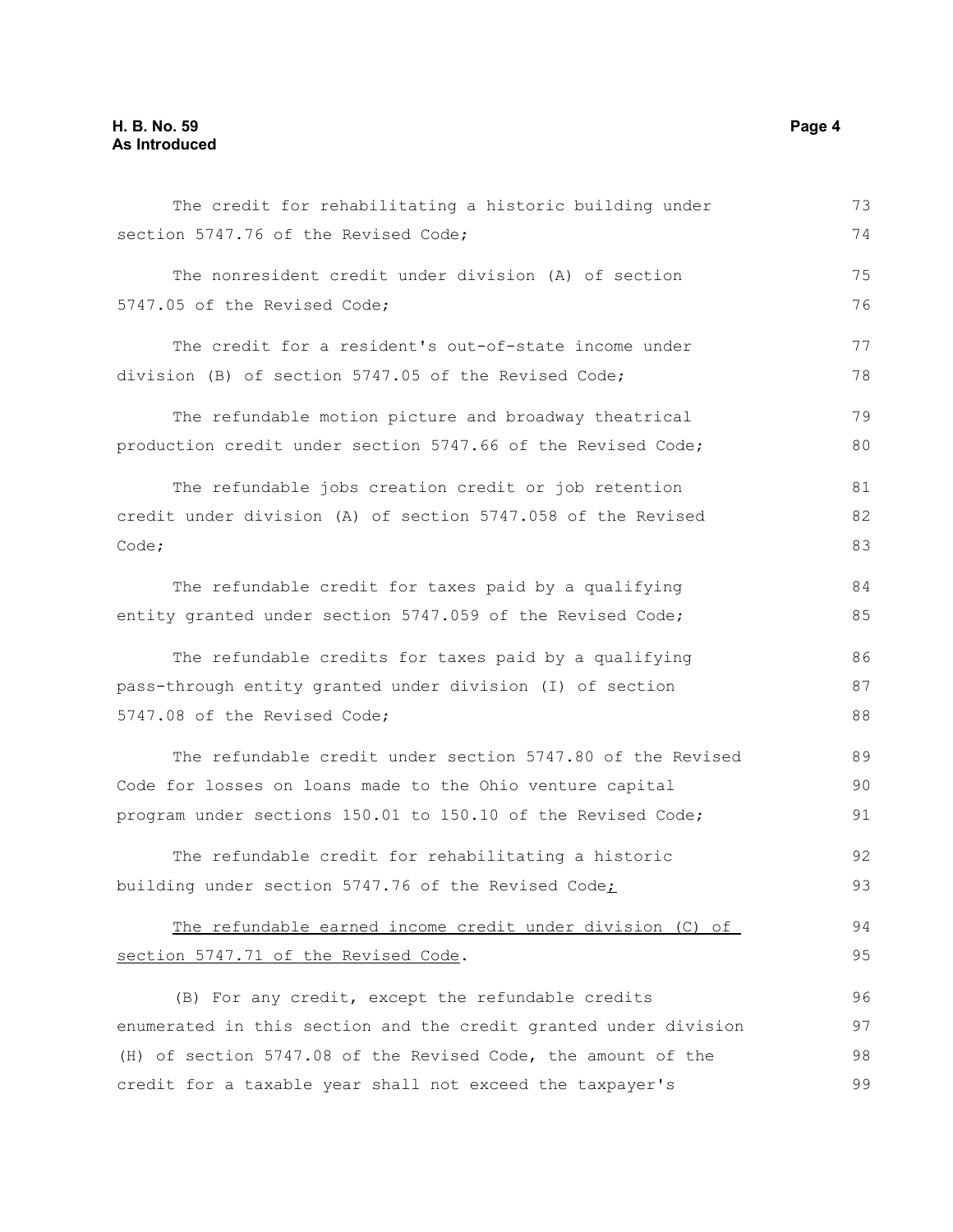| The credit for rehabilitating a historic building under          | 73 |
|------------------------------------------------------------------|----|
| section 5747.76 of the Revised Code;                             | 74 |
| The nonresident credit under division (A) of section             | 75 |
| 5747.05 of the Revised Code;                                     | 76 |
| The credit for a resident's out-of-state income under            | 77 |
| division (B) of section 5747.05 of the Revised Code;             | 78 |
| The refundable motion picture and broadway theatrical            | 79 |
| production credit under section 5747.66 of the Revised Code;     | 80 |
| The refundable jobs creation credit or job retention             | 81 |
| credit under division (A) of section 5747.058 of the Revised     | 82 |
| Code;                                                            | 83 |
| The refundable credit for taxes paid by a qualifying             | 84 |
| entity granted under section 5747.059 of the Revised Code;       | 85 |
| The refundable credits for taxes paid by a qualifying            | 86 |
| pass-through entity granted under division (I) of section        | 87 |
| 5747.08 of the Revised Code;                                     | 88 |
| The refundable credit under section 5747.80 of the Revised       | 89 |
| Code for losses on loans made to the Ohio venture capital        | 90 |
| program under sections 150.01 to 150.10 of the Revised Code;     | 91 |
| The refundable credit for rehabilitating a historic              | 92 |
| building under section 5747.76 of the Revised Code;              | 93 |
| The refundable earned income credit under division (C) of        | 94 |
| section 5747.71 of the Revised Code.                             | 95 |
| (B) For any credit, except the refundable credits                | 96 |
| enumerated in this section and the credit granted under division | 97 |
| (H) of section 5747.08 of the Revised Code, the amount of the    | 98 |
| credit for a taxable year shall not exceed the taxpayer's        | 99 |